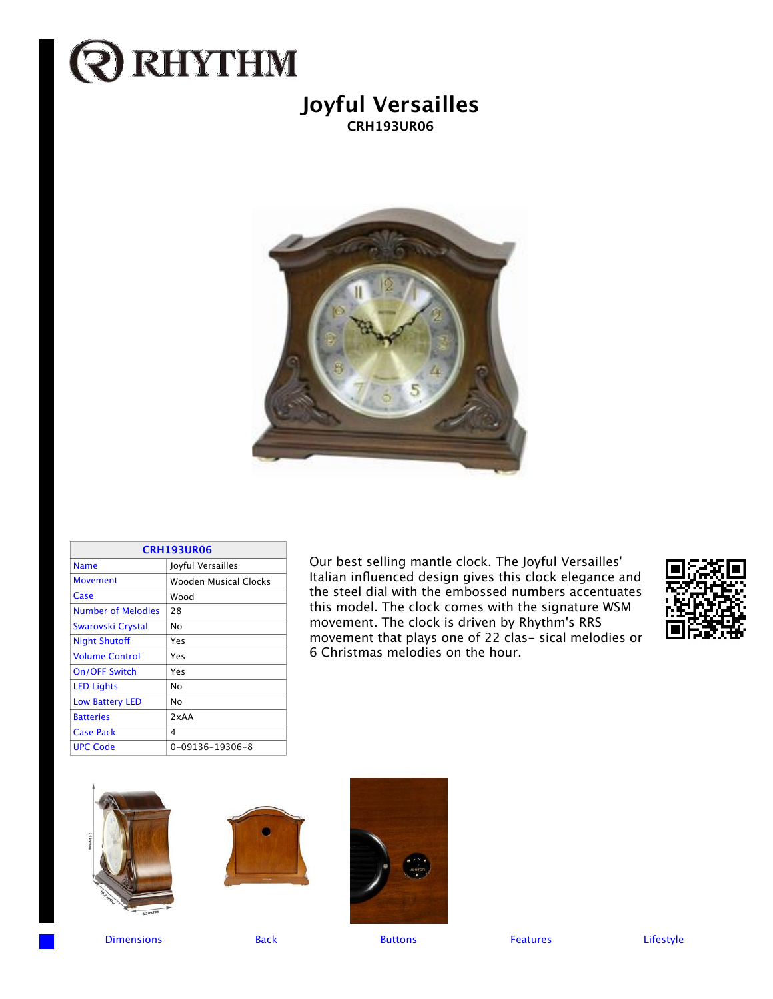## **Q RHYTHM**

## **Joyful Versailles CRH193UR06**



| <b>CRH193UR06</b>         |                       |  |
|---------------------------|-----------------------|--|
| <b>Name</b>               | Joyful Versailles     |  |
| <b>Movement</b>           | Wooden Musical Clocks |  |
| Case                      | Wood                  |  |
| <b>Number of Melodies</b> | 28                    |  |
| Swarovski Crystal         | No                    |  |
| <b>Night Shutoff</b>      | Yes                   |  |
| <b>Volume Control</b>     | Yes                   |  |
| On/OFF Switch             | Yes                   |  |
| <b>LED Lights</b>         | No                    |  |
| <b>Low Battery LED</b>    | No                    |  |
| <b>Batteries</b>          | 2xAA                  |  |
| <b>Case Pack</b>          | 4                     |  |
| <b>UPC Code</b>           | 0-09136-19306-8       |  |

Our best selling mantle clock. The Joyful Versailles' Italian influenced design gives this clock elegance and the steel dial with the embossed numbers accentuates this model. The clock comes with the signature WSM movement. The clock is driven by Rhythm's RRS movement that plays one of 22 clas- sical melodies or 6 Christmas melodies on the hour.









Dimensions Back Buttons Features Lifestyle